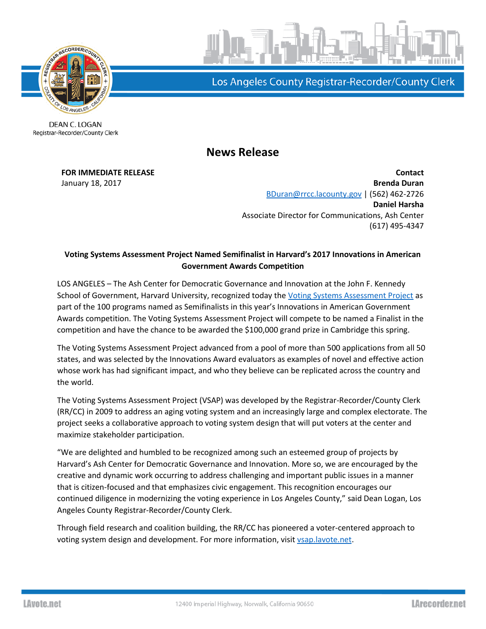

Los Angeles County Registrar-Recorder/County Clerk

DEAN C. LOGAN Registrar-Recorder/County Clerk

## **News Release**

**FOR IMMEDIATE RELEASE Contact** January 18, 2017 **Brenda Duran** [BDuran@rrcc.lacounty.gov](mailto:BDuran@rrcc.lacounty.gov) | (562) 462-2726 **Daniel Harsha** Associate Director for Communications, Ash Center (617) 495-4347

## **Voting Systems Assessment Project Named Semifinalist in Harvard's 2017 Innovations in American Government Awards Competition**

LOS ANGELES – The Ash Center for Democratic Governance and Innovation at the John F. Kennedy School of Government, Harvard University, recognized today the [Voting Systems Assessment Project](http://vsap.lavote.net/) as part of the 100 programs named as Semifinalists in this year's Innovations in American Government Awards competition. The Voting Systems Assessment Project will compete to be named a Finalist in the competition and have the chance to be awarded the \$100,000 grand prize in Cambridge this spring.

The Voting Systems Assessment Project advanced from a pool of more than 500 applications from all 50 states, and was selected by the Innovations Award evaluators as examples of novel and effective action whose work has had significant impact, and who they believe can be replicated across the country and the world.

The Voting Systems Assessment Project (VSAP) was developed by the Registrar-Recorder/County Clerk (RR/CC) in 2009 to address an aging voting system and an increasingly large and complex electorate. The project seeks a collaborative approach to voting system design that will put voters at the center and maximize stakeholder participation.

"We are delighted and humbled to be recognized among such an esteemed group of projects by Harvard's Ash Center for Democratic Governance and Innovation. More so, we are encouraged by the creative and dynamic work occurring to address challenging and important public issues in a manner that is citizen-focused and that emphasizes civic engagement. This recognition encourages our continued diligence in modernizing the voting experience in Los Angeles County," said Dean Logan, Los Angeles County Registrar-Recorder/County Clerk.

Through field research and coalition building, the RR/CC has pioneered a voter-centered approach to voting system design and development. For more information, visi[t vsap.lavote.net.](http://vsap.lavote.net/)